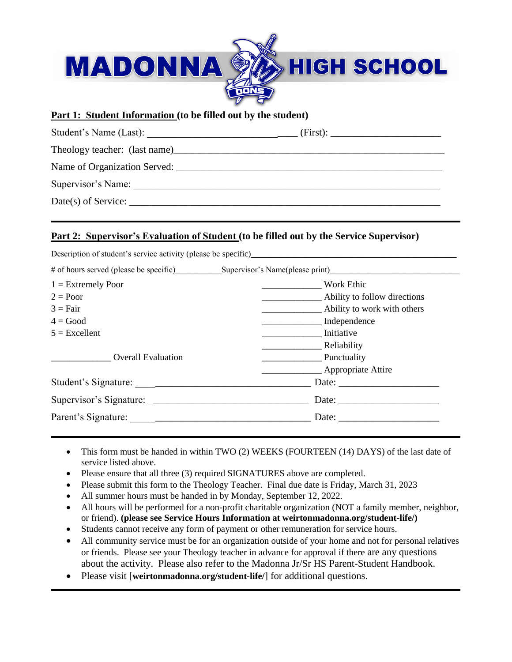

## **Part 1: Student Information (to be filled out by the student)**

| Student's Name (Last):       | (First): |
|------------------------------|----------|
|                              |          |
| Name of Organization Served: |          |
| Supervisor's Name:           |          |
| $Date(s)$ of Service:        |          |

## **Part 2: Supervisor's Evaluation of Student (to be filled out by the Service Supervisor)**

|                           | Description of student's service activity (please be specific)         |  |
|---------------------------|------------------------------------------------------------------------|--|
|                           | # of hours served (please be specific) Supervisor's Name(please print) |  |
| $1 =$ Extremely Poor      | Work Ethic                                                             |  |
| $2 = Poor$                | Ability to follow directions                                           |  |
| $3 = Fair$                | Ability to work with others                                            |  |
| $4 = Good$                | Independence                                                           |  |
| $5 =$ Excellent           | Initiative                                                             |  |
|                           | Reliability                                                            |  |
| <b>Overall Evaluation</b> | Punctuality                                                            |  |
|                           | Appropriate Attire                                                     |  |
|                           | Date:                                                                  |  |
|                           |                                                                        |  |
|                           | Date: $\frac{1}{\sqrt{1-\frac{1}{2}} \cdot \frac{1}{2}}$               |  |

- This form must be handed in within TWO (2) WEEKS (FOURTEEN (14) DAYS) of the last date of service listed above.
- Please ensure that all three (3) required SIGNATURES above are completed.
- Please submit this form to the Theology Teacher. Final due date is Friday, March 31, 2023
- All summer hours must be handed in by Monday, September 12, 2022.
- All hours will be performed for a non-profit charitable organization (NOT a family member, neighbor, or friend). **(please see Service Hours Information at weirtonmadonna.org/student-life/)**
- Students cannot receive any form of payment or other remuneration for service hours.
- All community service must be for an organization outside of your home and not for personal relatives or friends. Please see your Theology teacher in advance for approval if there are any questions about the activity. Please also refer to the Madonna Jr/Sr HS Parent-Student Handbook.
- Please visit [**weirtonmadonna.org/student-life/**] for additional questions.